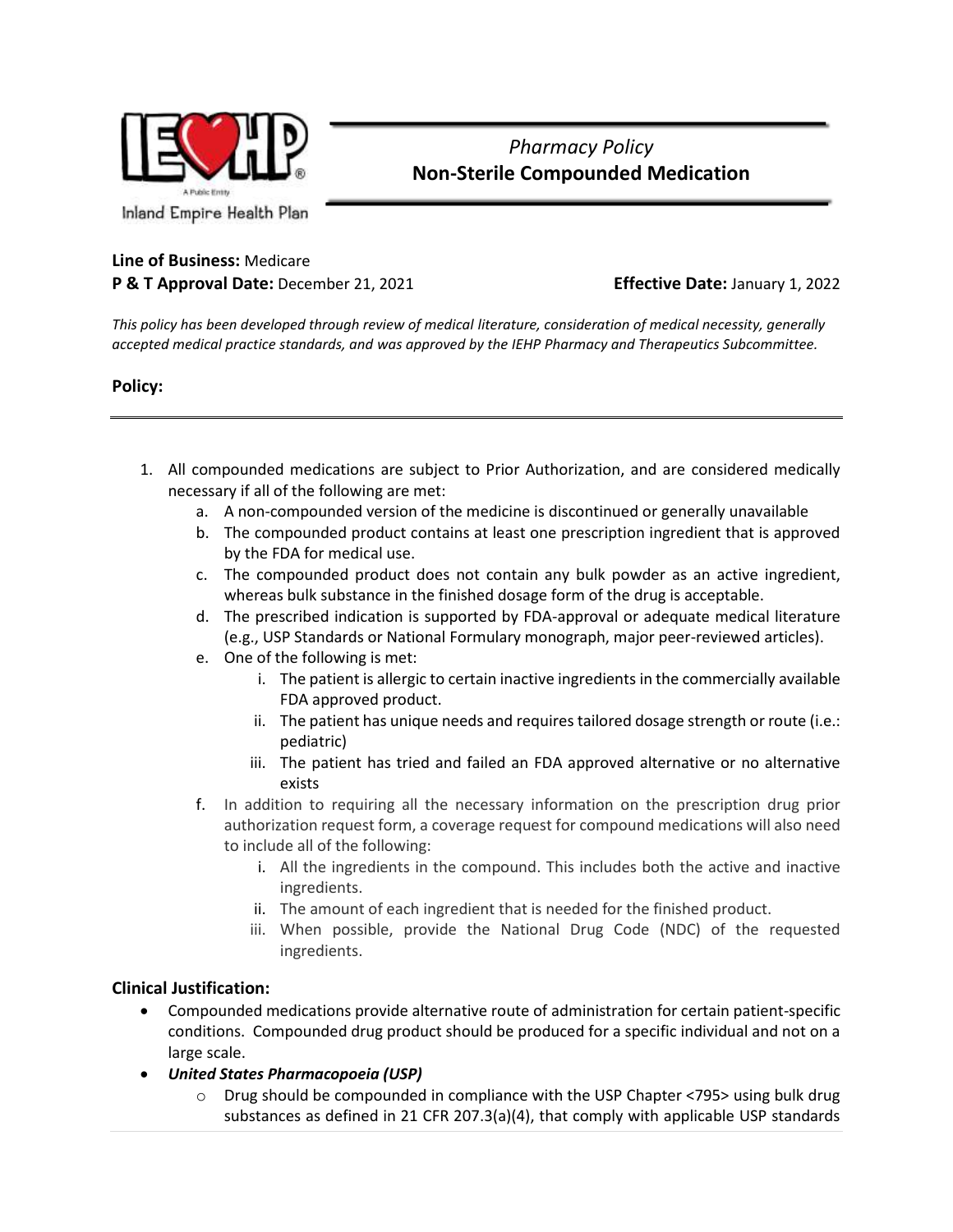

# *Pharmacy Policy* **Non-Sterile Compounded Medication**

## **Line of Business:** Medicare **P & T Approval Date:** December 21, 2021 **Effective Date:** January 1, 2022

*This policy has been developed through review of medical literature, consideration of medical necessity, generally accepted medical practice standards, and was approved by the IEHP Pharmacy and Therapeutics Subcommittee.*

### **Policy:**

- 1. All compounded medications are subject to Prior Authorization, and are considered medically necessary if all of the following are met:
	- a. A non-compounded version of the medicine is discontinued or generally unavailable
	- b. The compounded product contains at least one prescription ingredient that is approved by the FDA for medical use.
	- c. The compounded product does not contain any bulk powder as an active ingredient, whereas bulk substance in the finished dosage form of the drug is acceptable.
	- d. The prescribed indication is supported by FDA-approval or adequate medical literature (e.g., USP Standards or National Formulary monograph, major peer-reviewed articles).
	- e. One of the following is met:
		- i. The patient is allergic to certain inactive ingredients in the commercially available FDA approved product.
		- ii. The patient has unique needs and requires tailored dosage strength or route (i.e.: pediatric)
		- iii. The patient has tried and failed an FDA approved alternative or no alternative exists
	- f. In addition to requiring all the necessary information on the prescription drug prior authorization request form, a coverage request for compound medications will also need to include all of the following:
		- i. All the ingredients in the compound. This includes both the active and inactive ingredients.
		- ii. The amount of each ingredient that is needed for the finished product.
		- iii. When possible, provide the National Drug Code (NDC) of the requested ingredients.

## **Clinical Justification:**

- Compounded medications provide alternative route of administration for certain patient-specific conditions. Compounded drug product should be produced for a specific individual and not on a large scale.
- *United States Pharmacopoeia (USP)* 
	- o Drug should be compounded in compliance with the USP Chapter <795> using bulk drug substances as defined in 21 CFR 207.3(a)(4), that comply with applicable USP standards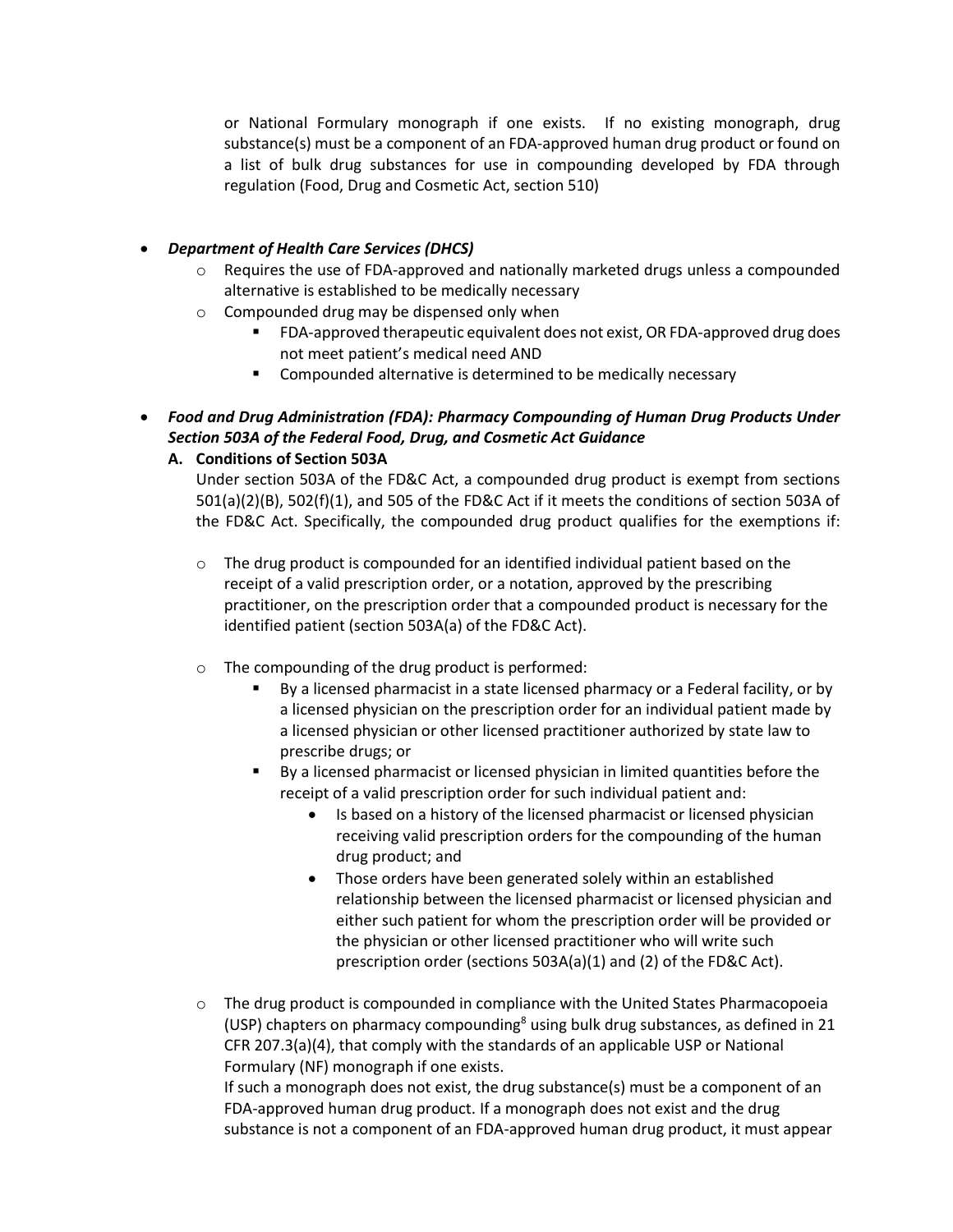or National Formulary monograph if one exists. If no existing monograph, drug substance(s) must be a component of an FDA-approved human drug product or found on a list of bulk drug substances for use in compounding developed by FDA through regulation (Food, Drug and Cosmetic Act, section 510)

#### • *Department of Health Care Services (DHCS)*

- $\circ$  Requires the use of FDA-approved and nationally marketed drugs unless a compounded alternative is established to be medically necessary
- o Compounded drug may be dispensed only when
	- FDA-approved therapeutic equivalent does not exist, OR FDA-approved drug does not meet patient's medical need AND
	- Compounded alternative is determined to be medically necessary
- *Food and Drug Administration (FDA): Pharmacy Compounding of Human Drug Products Under Section 503A of the Federal Food, Drug, and Cosmetic Act Guidance*

### **A. Conditions of Section 503A**

Under section 503A of the FD&C Act, a compounded drug product is exempt from sections 501(a)(2)(B), 502(f)(1), and 505 of the FD&C Act if it meets the conditions of section 503A of the FD&C Act. Specifically, the compounded drug product qualifies for the exemptions if:

- o The drug product is compounded for an identified individual patient based on the receipt of a valid prescription order, or a notation, approved by the prescribing practitioner, on the prescription order that a compounded product is necessary for the identified patient (section 503A(a) of the FD&C Act).
- o The compounding of the drug product is performed:
	- By a licensed pharmacist in a state licensed pharmacy or a Federal facility, or by a licensed physician on the prescription order for an individual patient made by a licensed physician or other licensed practitioner authorized by state law to prescribe drugs; or
	- By a licensed pharmacist or licensed physician in limited quantities before the receipt of a valid prescription order for such individual patient and:
		- Is based on a history of the licensed pharmacist or licensed physician receiving valid prescription orders for the compounding of the human drug product; and
		- Those orders have been generated solely within an established relationship between the licensed pharmacist or licensed physician and either such patient for whom the prescription order will be provided or the physician or other licensed practitioner who will write such prescription order (sections 503A(a)(1) and (2) of the FD&C Act).
- $\circ$  The drug product is compounded in compliance with the United States Pharmacopoeia (USP) chapters on pharmacy compounding<sup>8</sup> using bulk drug substances, as defined in 21 CFR 207.3(a)(4), that comply with the standards of an applicable USP or National Formulary (NF) monograph if one exists.

If such a monograph does not exist, the drug substance(s) must be a component of an FDA-approved human drug product. If a monograph does not exist and the drug substance is not a component of an FDA-approved human drug product, it must appear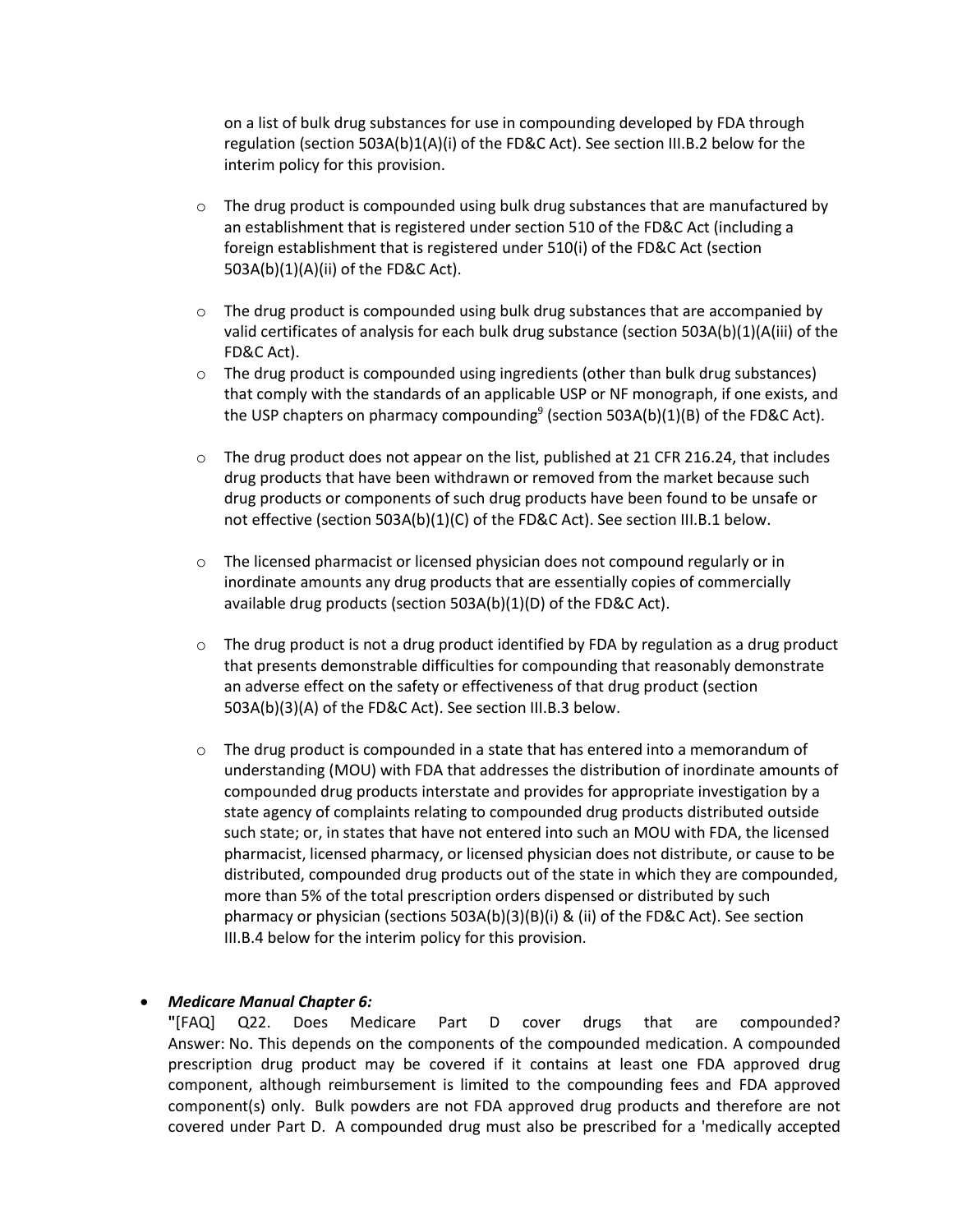on a list of bulk drug substances for use in compounding developed by FDA through regulation (section 503A(b)1(A)(i) of the FD&C Act). See section III.B.2 below for the interim policy for this provision.

- $\circ$  The drug product is compounded using bulk drug substances that are manufactured by an establishment that is registered under section 510 of the FD&C Act (including a foreign establishment that is registered under 510(i) of the FD&C Act (section 503A(b)(1)(A)(ii) of the FD&C Act).
- $\circ$  The drug product is compounded using bulk drug substances that are accompanied by valid certificates of analysis for each bulk drug substance (section 503A(b)(1)(A(iii) of the FD&C Act).
- $\circ$  The drug product is compounded using ingredients (other than bulk drug substances) that comply with the standards of an applicable USP or NF monograph, if one exists, and the USP chapters on pharmacy compounding<sup>9</sup> (section 503A(b)(1)(B) of the FD&C Act).
- $\circ$  The drug product does not appear on the list, published at 21 CFR 216.24, that includes drug products that have been withdrawn or removed from the market because such drug products or components of such drug products have been found to be unsafe or not effective (section 503A(b)(1)(C) of the FD&C Act). See section III.B.1 below.
- $\circ$  The licensed pharmacist or licensed physician does not compound regularly or in inordinate amounts any drug products that are essentially copies of commercially available drug products (section 503A(b)(1)(D) of the FD&C Act).
- $\circ$  The drug product is not a drug product identified by FDA by regulation as a drug product that presents demonstrable difficulties for compounding that reasonably demonstrate an adverse effect on the safety or effectiveness of that drug product (section 503A(b)(3)(A) of the FD&C Act). See section III.B.3 below.
- o The drug product is compounded in a state that has entered into a memorandum of understanding (MOU) with FDA that addresses the distribution of inordinate amounts of compounded drug products interstate and provides for appropriate investigation by a state agency of complaints relating to compounded drug products distributed outside such state; or, in states that have not entered into such an MOU with FDA, the licensed pharmacist, licensed pharmacy, or licensed physician does not distribute, or cause to be distributed, compounded drug products out of the state in which they are compounded, more than 5% of the total prescription orders dispensed or distributed by such pharmacy or physician (sections 503A(b)(3)(B)(i) & (ii) of the FD&C Act). See section III.B.4 below for the interim policy for this provision.

#### • *Medicare Manual Chapter 6:*

**"**[FAQ] Q22. Does Medicare Part D cover drugs that are compounded? Answer: No. This depends on the components of the compounded medication. A compounded prescription drug product may be covered if it contains at least one FDA approved drug component, although reimbursement is limited to the compounding fees and FDA approved component(s) only. Bulk powders are not FDA approved drug products and therefore are not covered under Part D. A compounded drug must also be prescribed for a 'medically accepted